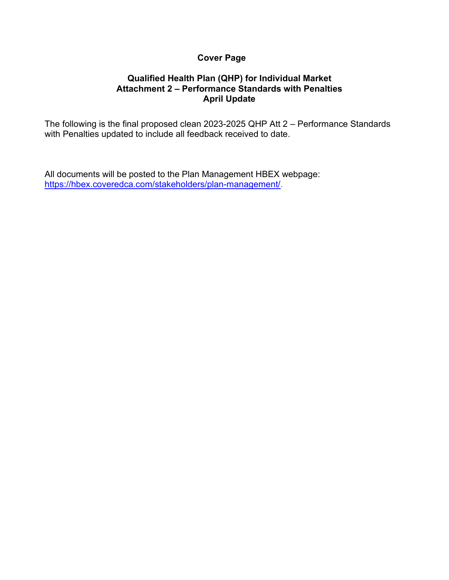# **Cover Page**

## **Qualified Health Plan (QHP) for Individual Market Attachment 2 – Performance Standards with Penalties April Update**

The following is the final proposed clean 2023-2025 QHP Att 2 – Performance Standards with Penalties updated to include all feedback received to date.

All documents will be posted to the Plan Management HBEX webpage: [https://hbex.coveredca.com/stakeholders/plan-management/.](https://hbex.coveredca.com/stakeholders/plan-management/)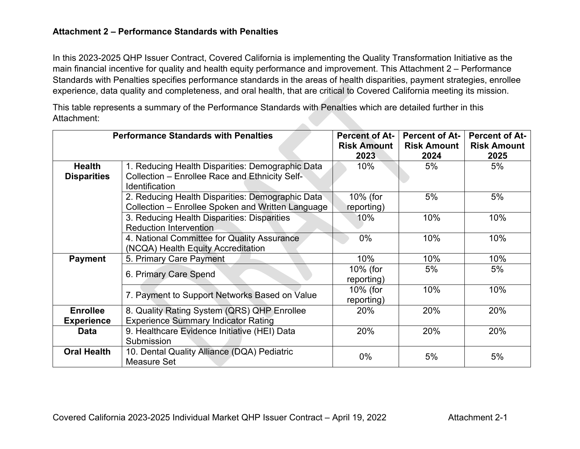## **Attachment 2 – Performance Standards with Penalties**

In this 2023-2025 QHP Issuer Contract, Covered California is implementing the Quality Transformation Initiative as the main financial incentive for quality and health equity performance and improvement. This Attachment 2 – Performance Standards with Penalties specifies performance standards in the areas of health disparities, payment strategies, enrollee experience, data quality and completeness, and oral health, that are critical to Covered California meeting its mission.

This table represents a summary of the Performance Standards with Penalties which are detailed further in this Attachment: 

| <b>Performance Standards with Penalties</b> |                                                                                                       | <b>Percent of At-</b>  | <b>Percent of At-</b> | <b>Percent of At-</b> |
|---------------------------------------------|-------------------------------------------------------------------------------------------------------|------------------------|-----------------------|-----------------------|
|                                             |                                                                                                       | <b>Risk Amount</b>     | <b>Risk Amount</b>    | <b>Risk Amount</b>    |
|                                             |                                                                                                       | 2023                   | 2024                  | 2025                  |
| <b>Health</b>                               | 1. Reducing Health Disparities: Demographic Data                                                      | $10\%$                 | 5%                    | 5%                    |
| <b>Disparities</b>                          | Collection - Enrollee Race and Ethnicity Self-<br><b>Identification</b>                               |                        |                       |                       |
|                                             | 2. Reducing Health Disparities: Demographic Data<br>Collection – Enrollee Spoken and Written Language | 10% (for<br>reporting) | 5%                    | 5%                    |
|                                             | 3. Reducing Health Disparities: Disparities<br><b>Reduction Intervention</b>                          | 10%                    | 10%                   | 10%                   |
|                                             | 4. National Committee for Quality Assurance<br>(NCQA) Health Equity Accreditation                     | $0\%$                  | 10%                   | 10%                   |
| <b>Payment</b>                              | 5. Primary Care Payment                                                                               | 10%                    | 10%                   | 10%                   |
|                                             | 6. Primary Care Spend                                                                                 | 10% (for<br>reporting) | 5%                    | 5%                    |
|                                             | 7. Payment to Support Networks Based on Value                                                         | 10% (for<br>reporting) | 10%                   | 10%                   |
| <b>Enrollee</b><br><b>Experience</b>        | 8. Quality Rating System (QRS) QHP Enrollee<br><b>Experience Summary Indicator Rating</b>             | 20%                    | 20%                   | 20%                   |
| <b>Data</b>                                 | 9. Healthcare Evidence Initiative (HEI) Data<br>Submission                                            | 20%                    | 20%                   | 20%                   |
| <b>Oral Health</b>                          | 10. Dental Quality Alliance (DQA) Pediatric<br>Measure Set                                            | $0\%$                  | 5%                    | 5%                    |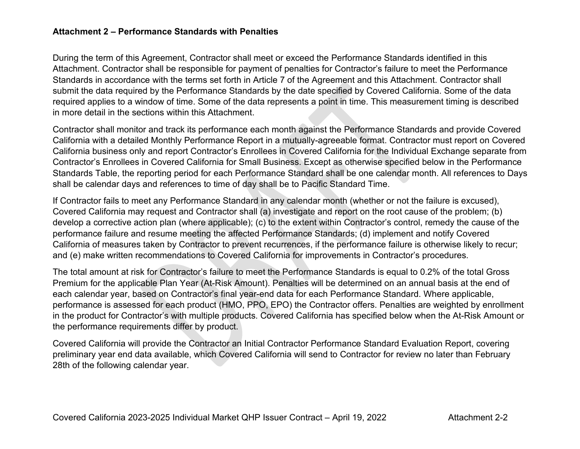## **Attachment 2 – Performance Standards with Penalties**

During the term of this Agreement, Contractor shall meet or exceed the Performance Standards identified in this Attachment. Contractor shall be responsible for payment of penalties for Contractor's failure to meet the Performance Standards in accordance with the terms set forth in Article 7 of the Agreement and this Attachment. Contractor shall submit the data required by the Performance Standards by the date specified by Covered California. Some of the data required applies to a window of time. Some of the data represents a point in time. This measurement timing is described in more detail in the sections within this Attachment.

Contractor shall monitor and track its performance each month against the Performance Standards and provide Covered California with a detailed Monthly Performance Report in a mutually-agreeable format. Contractor must report on Covered California business only and report Contractor's Enrollees in Covered California for the Individual Exchange separate from Contractor's Enrollees in Covered California for Small Business. Except as otherwise specified below in the Performance Standards Table, the reporting period for each Performance Standard shall be one calendar month. All references to Days shall be calendar days and references to time of day shall be to Pacific Standard Time.

If Contractor fails to meet any Performance Standard in any calendar month (whether or not the failure is excused), Covered California may request and Contractor shall (a) investigate and report on the root cause of the problem; (b) develop a corrective action plan (where applicable); (c) to the extent within Contractor's control, remedy the cause of the performance failure and resume meeting the affected Performance Standards; (d) implement and notify Covered California of measures taken by Contractor to prevent recurrences, if the performance failure is otherwise likely to recur; and (e) make written recommendations to Covered California for improvements in Contractor's procedures.

The total amount at risk for Contractor's failure to meet the Performance Standards is equal to 0.2% of the total Gross Premium for the applicable Plan Year (At-Risk Amount). Penalties will be determined on an annual basis at the end of each calendar year, based on Contractor's final year-end data for each Performance Standard. Where applicable, performance is assessed for each product (HMO, PPO, EPO) the Contractor offers. Penalties are weighted by enrollment in the product for Contractor's with multiple products. Covered California has specified below when the At-Risk Amount or the performance requirements differ by product.

Covered California will provide the Contractor an Initial Contractor Performance Standard Evaluation Report, covering preliminary year end data available, which Covered California will send to Contractor for review no later than February 28th of the following calendar year.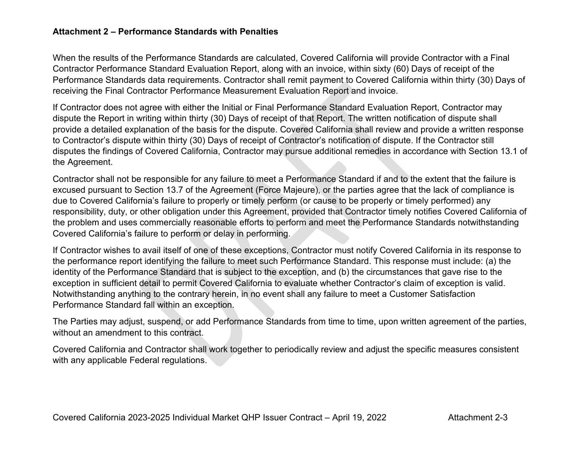## **Attachment 2 – Performance Standards with Penalties**

When the results of the Performance Standards are calculated, Covered California will provide Contractor with a Final Contractor Performance Standard Evaluation Report, along with an invoice, within sixty (60) Days of receipt of the Performance Standards data requirements. Contractor shall remit payment to Covered California within thirty (30) Days of receiving the Final Contractor Performance Measurement Evaluation Report and invoice.

If Contractor does not agree with either the Initial or Final Performance Standard Evaluation Report, Contractor may dispute the Report in writing within thirty (30) Days of receipt of that Report. The written notification of dispute shall provide a detailed explanation of the basis for the dispute. Covered California shall review and provide a written response to Contractor's dispute within thirty (30) Days of receipt of Contractor's notification of dispute. If the Contractor still disputes the findings of Covered California, Contractor may pursue additional remedies in accordance with Section 13.1 of the Agreement.

Contractor shall not be responsible for any failure to meet a Performance Standard if and to the extent that the failure is excused pursuant to Section 13.7 of the Agreement (Force Majeure), or the parties agree that the lack of compliance is due to Covered California's failure to properly or timely perform (or cause to be properly or timely performed) any responsibility, duty, or other obligation under this Agreement, provided that Contractor timely notifies Covered California of the problem and uses commercially reasonable efforts to perform and meet the Performance Standards notwithstanding Covered California's failure to perform or delay in performing.

If Contractor wishes to avail itself of one of these exceptions, Contractor must notify Covered California in its response to the performance report identifying the failure to meet such Performance Standard. This response must include: (a) the identity of the Performance Standard that is subject to the exception, and (b) the circumstances that gave rise to the exception in sufficient detail to permit Covered California to evaluate whether Contractor's claim of exception is valid. Notwithstanding anything to the contrary herein, in no event shall any failure to meet a Customer Satisfaction Performance Standard fall within an exception.

The Parties may adjust, suspend, or add Performance Standards from time to time, upon written agreement of the parties, without an amendment to this contract.

Covered California and Contractor shall work together to periodically review and adjust the specific measures consistent with any applicable Federal regulations.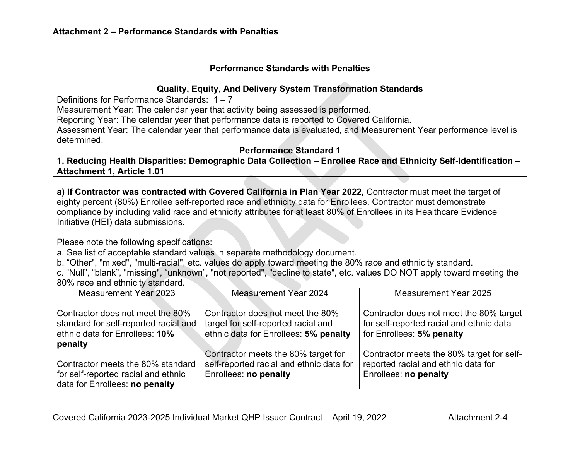#### **Performance Standards with Penalties**

#### **Quality, Equity, And Delivery System Transformation Standards**

Definitions for Performance Standards: 1 – 7

Measurement Year: The calendar year that activity being assessed is performed.

Reporting Year: The calendar year that performance data is reported to Covered California.

Assessment Year: The calendar year that performance data is evaluated, and Measurement Year performance level is determined.

**Performance Standard 1**

**1. Reducing Health Disparities: Demographic Data Collection – Enrollee Race and Ethnicity Self-Identification – Attachment 1, Article 1.01**

**a) If Contractor was contracted with Covered California in Plan Year 2022,** Contractor must meet the target of eighty percent (80%) Enrollee self-reported race and ethnicity data for Enrollees. Contractor must demonstrate compliance by including valid race and ethnicity attributes for at least 80% of Enrollees in its Healthcare Evidence Initiative (HEI) data submissions.

Please note the following specifications:

a. See list of acceptable standard values in separate methodology document.

b. "Other", "mixed", "multi-racial", etc. values do apply toward meeting the 80% race and ethnicity standard.

c. "Null", "blank", "missing", "unknown", "not reported", "decline to state", etc. values DO NOT apply toward meeting the 80% race and ethnicity standard.

| <b>Measurement Year 2023</b>                                                                                | <b>Measurement Year 2024</b>                                                                                     | Measurement Year 2025                                                                                            |
|-------------------------------------------------------------------------------------------------------------|------------------------------------------------------------------------------------------------------------------|------------------------------------------------------------------------------------------------------------------|
| Contractor does not meet the 80%<br>standard for self-reported racial and<br>ethnic data for Enrollees: 10% | Contractor does not meet the 80%<br>target for self-reported racial and<br>ethnic data for Enrollees: 5% penalty | Contractor does not meet the 80% target<br>for self-reported racial and ethnic data<br>for Enrollees: 5% penalty |
| penalty<br>Contractor meets the 80% standard                                                                | Contractor meets the 80% target for<br>self-reported racial and ethnic data for                                  | Contractor meets the 80% target for self-<br>reported racial and ethnic data for                                 |
| for self-reported racial and ethnic<br>data for Enrollees: no penalty                                       | Enrollees: no penalty                                                                                            | Enrollees: no penalty                                                                                            |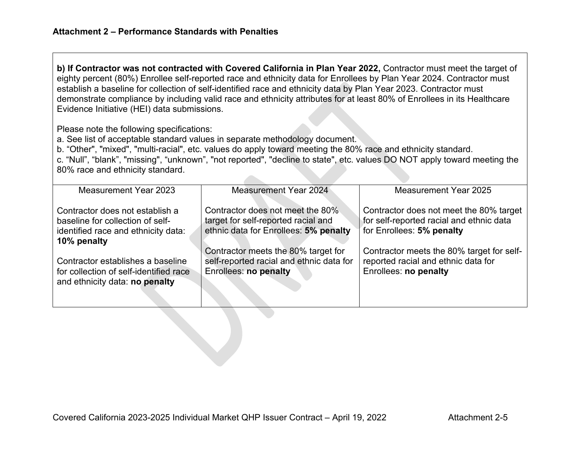**b) If Contractor was not contracted with Covered California in Plan Year 2022,** Contractor must meet the target of eighty percent (80%) Enrollee self-reported race and ethnicity data for Enrollees by Plan Year 2024. Contractor must establish a baseline for collection of self-identified race and ethnicity data by Plan Year 2023. Contractor must demonstrate compliance by including valid race and ethnicity attributes for at least 80% of Enrollees in its Healthcare Evidence Initiative (HEI) data submissions.

Please note the following specifications:

a. See list of acceptable standard values in separate methodology document.

b. "Other", "mixed", "multi-racial", etc. values do apply toward meeting the 80% race and ethnicity standard.

c. "Null", "blank", "missing", "unknown", "not reported", "decline to state", etc. values DO NOT apply toward meeting the 80% race and ethnicity standard.

| Measurement Year 2023                                                                                                     | Measurement Year 2024                                                                                            | <b>Measurement Year 2025</b>                                                                                     |
|---------------------------------------------------------------------------------------------------------------------------|------------------------------------------------------------------------------------------------------------------|------------------------------------------------------------------------------------------------------------------|
| Contractor does not establish a<br>baseline for collection of self-<br>identified race and ethnicity data:<br>10% penalty | Contractor does not meet the 80%<br>target for self-reported racial and<br>ethnic data for Enrollees: 5% penalty | Contractor does not meet the 80% target<br>for self-reported racial and ethnic data<br>for Enrollees: 5% penalty |
| Contractor establishes a baseline<br>for collection of self-identified race<br>and ethnicity data: no penalty             | Contractor meets the 80% target for<br>self-reported racial and ethnic data for<br>Enrollees: no penalty         | Contractor meets the 80% target for self-<br>reported racial and ethnic data for<br>Enrollees: no penalty        |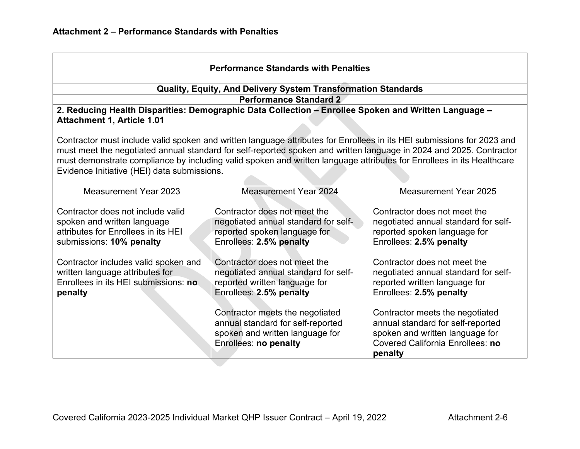|                                                                 | <b>Performance Standards with Penalties</b>                                                                            |                                                         |
|-----------------------------------------------------------------|------------------------------------------------------------------------------------------------------------------------|---------------------------------------------------------|
|                                                                 | Quality, Equity, And Delivery System Transformation Standards                                                          |                                                         |
|                                                                 | <b>Performance Standard 2</b>                                                                                          |                                                         |
| <b>Attachment 1, Article 1.01</b>                               | 2. Reducing Health Disparities: Demographic Data Collection - Enrollee Spoken and Written Language -                   |                                                         |
|                                                                 |                                                                                                                        |                                                         |
|                                                                 | Contractor must include valid spoken and written language attributes for Enrollees in its HEI submissions for 2023 and |                                                         |
|                                                                 | must meet the negotiated annual standard for self-reported spoken and written language in 2024 and 2025. Contractor    |                                                         |
|                                                                 | must demonstrate compliance by including valid spoken and written language attributes for Enrollees in its Healthcare  |                                                         |
| Evidence Initiative (HEI) data submissions.                     |                                                                                                                        |                                                         |
| Measurement Year 2023                                           | <b>Measurement Year 2024</b>                                                                                           | <b>Measurement Year 2025</b>                            |
|                                                                 |                                                                                                                        |                                                         |
| Contractor does not include valid                               | Contractor does not meet the                                                                                           | Contractor does not meet the                            |
| spoken and written language                                     | negotiated annual standard for self-                                                                                   | negotiated annual standard for self-                    |
| attributes for Enrollees in its HEI<br>submissions: 10% penalty | reported spoken language for<br>Enrollees: 2.5% penalty                                                                | reported spoken language for<br>Enrollees: 2.5% penalty |
|                                                                 |                                                                                                                        |                                                         |
| Contractor includes valid spoken and                            | Contractor does not meet the                                                                                           | Contractor does not meet the                            |
| written language attributes for                                 | negotiated annual standard for self-                                                                                   | negotiated annual standard for self-                    |
| Enrollees in its HEI submissions: no                            | reported written language for                                                                                          | reported written language for                           |
| penalty                                                         | Enrollees: 2.5% penalty                                                                                                | Enrollees: 2.5% penalty                                 |
|                                                                 | Contractor meets the negotiated                                                                                        | Contractor meets the negotiated                         |
|                                                                 | annual standard for self-reported                                                                                      | annual standard for self-reported                       |
|                                                                 | spoken and written language for                                                                                        | spoken and written language for                         |
|                                                                 | Enrollees: no penalty                                                                                                  | <b>Covered California Enrollees: no</b>                 |
|                                                                 |                                                                                                                        | penalty                                                 |

the control of the control of the control of the control of the control of the control of the control of the control of the control of the control of the control of the control of the control of the control of the control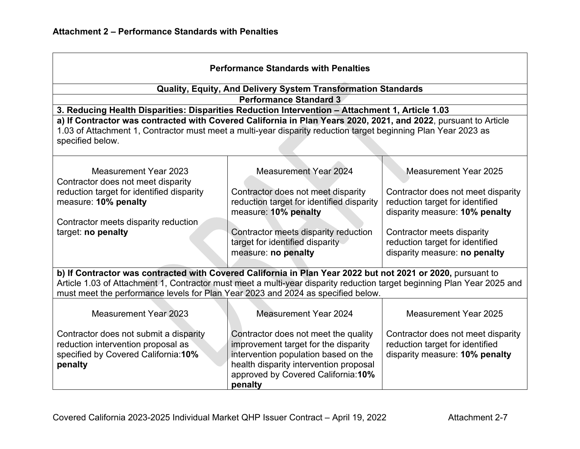| <b>Performance Standards with Penalties</b>                                                                                                                                                                                                                                                                                |                                                                                                                                                                                                                  |                                                                                                         |  |
|----------------------------------------------------------------------------------------------------------------------------------------------------------------------------------------------------------------------------------------------------------------------------------------------------------------------------|------------------------------------------------------------------------------------------------------------------------------------------------------------------------------------------------------------------|---------------------------------------------------------------------------------------------------------|--|
|                                                                                                                                                                                                                                                                                                                            | Quality, Equity, And Delivery System Transformation Standards                                                                                                                                                    |                                                                                                         |  |
|                                                                                                                                                                                                                                                                                                                            | <b>Performance Standard 3</b>                                                                                                                                                                                    |                                                                                                         |  |
| 3. Reducing Health Disparities: Disparities Reduction Intervention - Attachment 1, Article 1.03                                                                                                                                                                                                                            |                                                                                                                                                                                                                  |                                                                                                         |  |
| a) If Contractor was contracted with Covered California in Plan Years 2020, 2021, and 2022, pursuant to Article<br>1.03 of Attachment 1, Contractor must meet a multi-year disparity reduction target beginning Plan Year 2023 as<br>specified below.                                                                      |                                                                                                                                                                                                                  |                                                                                                         |  |
| Measurement Year 2023<br>Contractor does not meet disparity                                                                                                                                                                                                                                                                | <b>Measurement Year 2024</b>                                                                                                                                                                                     | Measurement Year 2025                                                                                   |  |
| reduction target for identified disparity<br>measure: 10% penalty                                                                                                                                                                                                                                                          | Contractor does not meet disparity<br>reduction target for identified disparity<br>measure: 10% penalty                                                                                                          | Contractor does not meet disparity<br>reduction target for identified<br>disparity measure: 10% penalty |  |
| Contractor meets disparity reduction                                                                                                                                                                                                                                                                                       |                                                                                                                                                                                                                  |                                                                                                         |  |
| target: no penalty                                                                                                                                                                                                                                                                                                         | Contractor meets disparity reduction<br>target for identified disparity<br>measure: no penalty                                                                                                                   | Contractor meets disparity<br>reduction target for identified<br>disparity measure: no penalty          |  |
| b) If Contractor was contracted with Covered California in Plan Year 2022 but not 2021 or 2020, pursuant to<br>Article 1.03 of Attachment 1, Contractor must meet a multi-year disparity reduction target beginning Plan Year 2025 and<br>must meet the performance levels for Plan Year 2023 and 2024 as specified below. |                                                                                                                                                                                                                  |                                                                                                         |  |
| Measurement Year 2023                                                                                                                                                                                                                                                                                                      | Measurement Year 2024                                                                                                                                                                                            | <b>Measurement Year 2025</b>                                                                            |  |
| Contractor does not submit a disparity<br>reduction intervention proposal as<br>specified by Covered California: 10%<br>penalty                                                                                                                                                                                            | Contractor does not meet the quality<br>improvement target for the disparity<br>intervention population based on the<br>health disparity intervention proposal<br>approved by Covered California: 10%<br>penalty | Contractor does not meet disparity<br>reduction target for identified<br>disparity measure: 10% penalty |  |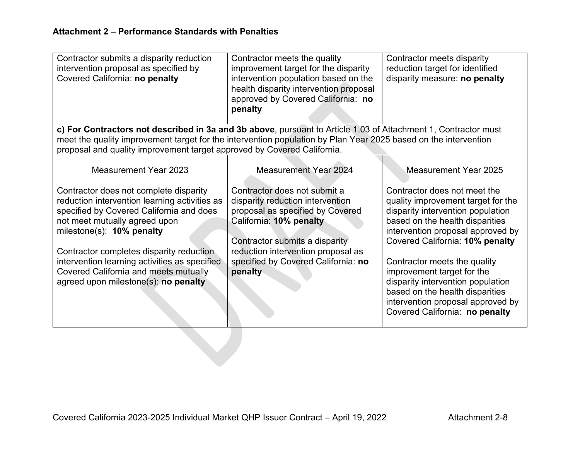| Contractor submits a disparity reduction<br>intervention proposal as specified by<br>Covered California: no penalty                                                                                                                                                                                                                                                                    | Contractor meets the quality<br>improvement target for the disparity<br>intervention population based on the<br>health disparity intervention proposal<br>approved by Covered California: no<br>penalty                                                   | Contractor meets disparity<br>reduction target for identified<br>disparity measure: no penalty                                                                                                                                                                                                                                                                                                                                  |
|----------------------------------------------------------------------------------------------------------------------------------------------------------------------------------------------------------------------------------------------------------------------------------------------------------------------------------------------------------------------------------------|-----------------------------------------------------------------------------------------------------------------------------------------------------------------------------------------------------------------------------------------------------------|---------------------------------------------------------------------------------------------------------------------------------------------------------------------------------------------------------------------------------------------------------------------------------------------------------------------------------------------------------------------------------------------------------------------------------|
| c) For Contractors not described in 3a and 3b above, pursuant to Article 1.03 of Attachment 1, Contractor must<br>meet the quality improvement target for the intervention population by Plan Year 2025 based on the intervention                                                                                                                                                      |                                                                                                                                                                                                                                                           |                                                                                                                                                                                                                                                                                                                                                                                                                                 |
| proposal and quality improvement target approved by Covered California.                                                                                                                                                                                                                                                                                                                |                                                                                                                                                                                                                                                           |                                                                                                                                                                                                                                                                                                                                                                                                                                 |
| <b>Measurement Year 2023</b>                                                                                                                                                                                                                                                                                                                                                           | <b>Measurement Year 2024</b>                                                                                                                                                                                                                              | Measurement Year 2025                                                                                                                                                                                                                                                                                                                                                                                                           |
| Contractor does not complete disparity<br>reduction intervention learning activities as<br>specified by Covered California and does<br>not meet mutually agreed upon<br>milestone(s): 10% penalty<br>Contractor completes disparity reduction<br>intervention learning activities as specified<br><b>Covered California and meets mutually</b><br>agreed upon milestone(s): no penalty | Contractor does not submit a<br>disparity reduction intervention<br>proposal as specified by Covered<br>California: 10% penalty<br>Contractor submits a disparity<br>reduction intervention proposal as<br>specified by Covered California: no<br>penalty | Contractor does not meet the<br>quality improvement target for the<br>disparity intervention population<br>based on the health disparities<br>intervention proposal approved by<br>Covered California: 10% penalty<br>Contractor meets the quality<br>improvement target for the<br>disparity intervention population<br>based on the health disparities<br>intervention proposal approved by<br>Covered California: no penalty |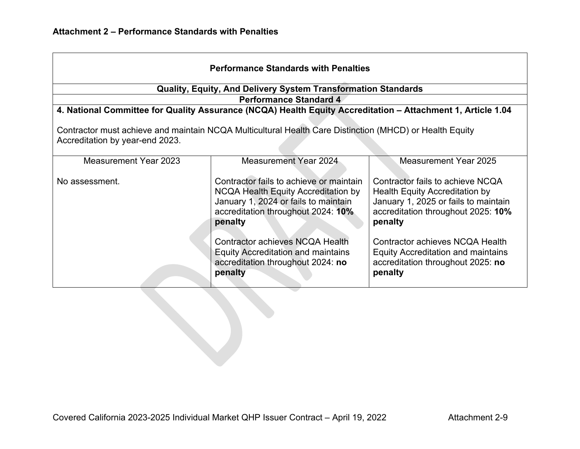| <b>Performance Standards with Penalties</b>                                                                                                |                                                                                                                                                                         |                                                                                                                                                                    |  |
|--------------------------------------------------------------------------------------------------------------------------------------------|-------------------------------------------------------------------------------------------------------------------------------------------------------------------------|--------------------------------------------------------------------------------------------------------------------------------------------------------------------|--|
|                                                                                                                                            | <b>Quality, Equity, And Delivery System Transformation Standards</b>                                                                                                    |                                                                                                                                                                    |  |
|                                                                                                                                            | <b>Performance Standard 4</b>                                                                                                                                           |                                                                                                                                                                    |  |
|                                                                                                                                            | 4. National Committee for Quality Assurance (NCQA) Health Equity Accreditation - Attachment 1, Article 1.04                                                             |                                                                                                                                                                    |  |
| Contractor must achieve and maintain NCQA Multicultural Health Care Distinction (MHCD) or Health Equity<br>Accreditation by year-end 2023. |                                                                                                                                                                         |                                                                                                                                                                    |  |
| <b>Measurement Year 2023</b>                                                                                                               | Measurement Year 2024                                                                                                                                                   | <b>Measurement Year 2025</b>                                                                                                                                       |  |
| No assessment.                                                                                                                             | Contractor fails to achieve or maintain<br>NCQA Health Equity Accreditation by<br>January 1, 2024 or fails to maintain<br>accreditation throughout 2024: 10%<br>penalty | Contractor fails to achieve NCQA<br><b>Health Equity Accreditation by</b><br>January 1, 2025 or fails to maintain<br>accreditation throughout 2025: 10%<br>penalty |  |
|                                                                                                                                            | Contractor achieves NCQA Health<br><b>Equity Accreditation and maintains</b><br>accreditation throughout 2024: no<br>penalty                                            | Contractor achieves NCQA Health<br><b>Equity Accreditation and maintains</b><br>accreditation throughout 2025: no<br>penalty                                       |  |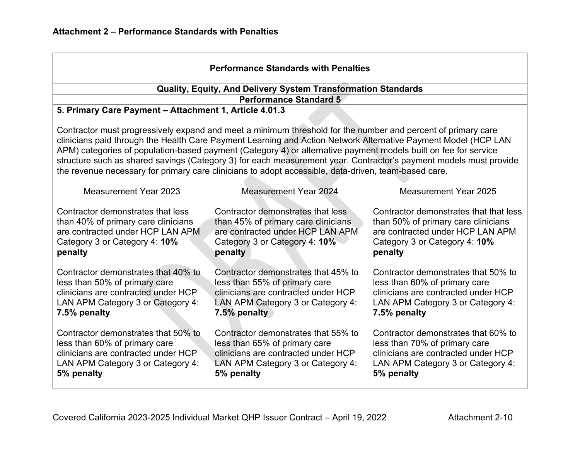| <b>Performance Standards with Penalties</b>                                                                                                                                                                                                                                                                                                                                                                                                                                                                                                                                    |                                                                                                                                                                  |                                                                                                                                                                  |  |
|--------------------------------------------------------------------------------------------------------------------------------------------------------------------------------------------------------------------------------------------------------------------------------------------------------------------------------------------------------------------------------------------------------------------------------------------------------------------------------------------------------------------------------------------------------------------------------|------------------------------------------------------------------------------------------------------------------------------------------------------------------|------------------------------------------------------------------------------------------------------------------------------------------------------------------|--|
|                                                                                                                                                                                                                                                                                                                                                                                                                                                                                                                                                                                | Quality, Equity, And Delivery System Transformation Standards                                                                                                    |                                                                                                                                                                  |  |
|                                                                                                                                                                                                                                                                                                                                                                                                                                                                                                                                                                                | <b>Performance Standard 5</b>                                                                                                                                    |                                                                                                                                                                  |  |
| 5. Primary Care Payment - Attachment 1, Article 4.01.3                                                                                                                                                                                                                                                                                                                                                                                                                                                                                                                         |                                                                                                                                                                  |                                                                                                                                                                  |  |
| Contractor must progressively expand and meet a minimum threshold for the number and percent of primary care<br>clinicians paid through the Health Care Payment Learning and Action Network Alternative Payment Model (HCP LAN<br>APM) categories of population-based payment (Category 4) or alternative payment models built on fee for service<br>structure such as shared savings (Category 3) for each measurement year. Contractor's payment models must provide<br>the revenue necessary for primary care clinicians to adopt accessible, data-driven, team-based care. |                                                                                                                                                                  |                                                                                                                                                                  |  |
| <b>Measurement Year 2023</b>                                                                                                                                                                                                                                                                                                                                                                                                                                                                                                                                                   | <b>Measurement Year 2024</b>                                                                                                                                     | <b>Measurement Year 2025</b>                                                                                                                                     |  |
| Contractor demonstrates that less<br>than 40% of primary care clinicians<br>are contracted under HCP LAN APM<br>Category 3 or Category 4: 10%<br>penalty                                                                                                                                                                                                                                                                                                                                                                                                                       | Contractor demonstrates that less<br>than 45% of primary care clinicians<br>are contracted under HCP LAN APM<br>Category 3 or Category 4: 10%<br>penalty         | Contractor demonstrates that that less<br>than 50% of primary care clinicians<br>are contracted under HCP LAN APM<br>Category 3 or Category 4: 10%<br>penalty    |  |
| Contractor demonstrates that 40% to<br>less than 50% of primary care<br>clinicians are contracted under HCP<br>LAN APM Category 3 or Category 4:<br>7.5% penalty                                                                                                                                                                                                                                                                                                                                                                                                               | Contractor demonstrates that 45% to<br>less than 55% of primary care<br>clinicians are contracted under HCP<br>LAN APM Category 3 or Category 4:<br>7.5% penalty | Contractor demonstrates that 50% to<br>less than 60% of primary care<br>clinicians are contracted under HCP<br>LAN APM Category 3 or Category 4:<br>7.5% penalty |  |
| Contractor demonstrates that 50% to<br>less than 60% of primary care<br>clinicians are contracted under HCP<br>LAN APM Category 3 or Category 4:<br>5% penalty                                                                                                                                                                                                                                                                                                                                                                                                                 | Contractor demonstrates that 55% to<br>less than 65% of primary care<br>clinicians are contracted under HCP<br>LAN APM Category 3 or Category 4:<br>5% penalty   | Contractor demonstrates that 60% to<br>less than 70% of primary care<br>clinicians are contracted under HCP<br>LAN APM Category 3 or Category 4:<br>5% penalty   |  |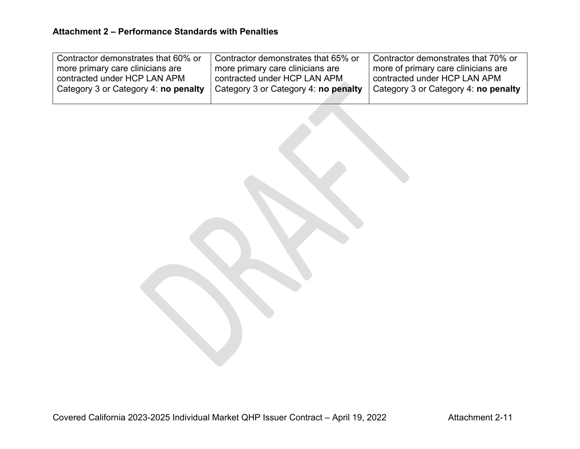| Contractor demonstrates that 60% or  | Contractor demonstrates that 65% or  | Contractor demonstrates that 70% or  |
|--------------------------------------|--------------------------------------|--------------------------------------|
| more primary care clinicians are     | more primary care clinicians are     | more of primary care clinicians are  |
| contracted under HCP LAN APM         | contracted under HCP LAN APM         | contracted under HCP LAN APM         |
| Category 3 or Category 4: no penalty | Category 3 or Category 4: no penalty | Category 3 or Category 4: no penalty |
|                                      |                                      |                                      |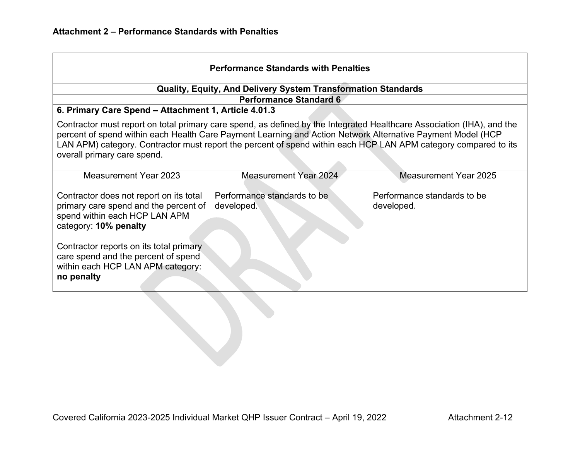| <b>Performance Standards with Penalties</b>                                                                                                                                                                                                                                                                                                                                             |                                                                      |                                           |  |
|-----------------------------------------------------------------------------------------------------------------------------------------------------------------------------------------------------------------------------------------------------------------------------------------------------------------------------------------------------------------------------------------|----------------------------------------------------------------------|-------------------------------------------|--|
|                                                                                                                                                                                                                                                                                                                                                                                         | <b>Quality, Equity, And Delivery System Transformation Standards</b> |                                           |  |
| 6. Primary Care Spend - Attachment 1, Article 4.01.3                                                                                                                                                                                                                                                                                                                                    | <b>Performance Standard 6</b>                                        |                                           |  |
| Contractor must report on total primary care spend, as defined by the Integrated Healthcare Association (IHA), and the<br>percent of spend within each Health Care Payment Learning and Action Network Alternative Payment Model (HCP<br>LAN APM) category. Contractor must report the percent of spend within each HCP LAN APM category compared to its<br>overall primary care spend. |                                                                      |                                           |  |
| Measurement Year 2023                                                                                                                                                                                                                                                                                                                                                                   | <b>Measurement Year 2024</b>                                         | <b>Measurement Year 2025</b>              |  |
| Contractor does not report on its total<br>primary care spend and the percent of<br>spend within each HCP LAN APM<br>category: 10% penalty                                                                                                                                                                                                                                              | Performance standards to be<br>developed.                            | Performance standards to be<br>developed. |  |
| Contractor reports on its total primary<br>care spend and the percent of spend<br>within each HCP LAN APM category:<br>no penalty                                                                                                                                                                                                                                                       |                                                                      |                                           |  |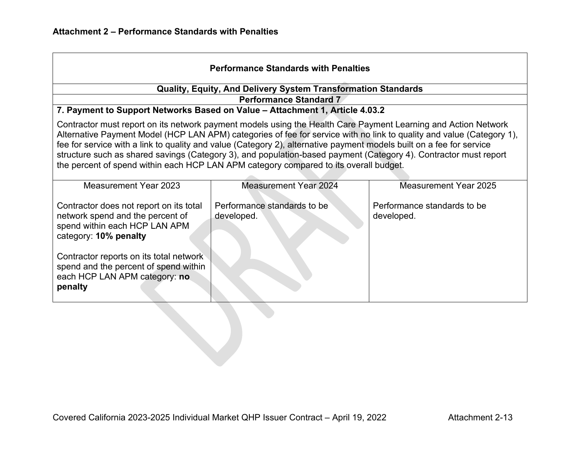| <b>Performance Standards with Penalties</b>                                                                                                                                                                                                                                                                                                                                                                                                                                                                                                                                  |                                                                                                               |                                           |  |
|------------------------------------------------------------------------------------------------------------------------------------------------------------------------------------------------------------------------------------------------------------------------------------------------------------------------------------------------------------------------------------------------------------------------------------------------------------------------------------------------------------------------------------------------------------------------------|---------------------------------------------------------------------------------------------------------------|-------------------------------------------|--|
|                                                                                                                                                                                                                                                                                                                                                                                                                                                                                                                                                                              | Quality, Equity, And Delivery System Transformation Standards                                                 |                                           |  |
|                                                                                                                                                                                                                                                                                                                                                                                                                                                                                                                                                                              | <b>Performance Standard 7</b><br>7. Payment to Support Networks Based on Value - Attachment 1, Article 4.03.2 |                                           |  |
| Contractor must report on its network payment models using the Health Care Payment Learning and Action Network<br>Alternative Payment Model (HCP LAN APM) categories of fee for service with no link to quality and value (Category 1),<br>fee for service with a link to quality and value (Category 2), alternative payment models built on a fee for service<br>structure such as shared savings (Category 3), and population-based payment (Category 4). Contractor must report<br>the percent of spend within each HCP LAN APM category compared to its overall budget. |                                                                                                               |                                           |  |
| Measurement Year 2023                                                                                                                                                                                                                                                                                                                                                                                                                                                                                                                                                        | <b>Measurement Year 2024</b>                                                                                  | Measurement Year 2025                     |  |
| Contractor does not report on its total<br>network spend and the percent of<br>spend within each HCP LAN APM<br>category: 10% penalty                                                                                                                                                                                                                                                                                                                                                                                                                                        | Performance standards to be<br>developed.                                                                     | Performance standards to be<br>developed. |  |
| Contractor reports on its total network<br>spend and the percent of spend within<br>each HCP LAN APM category: no<br>penalty                                                                                                                                                                                                                                                                                                                                                                                                                                                 |                                                                                                               |                                           |  |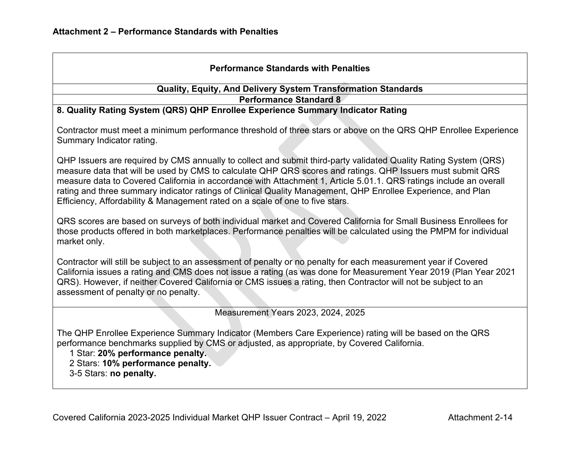| <b>Performance Standards with Penalties</b>                                                                                                                                                                                                                                                                                                                                                                                                                                                                                                           |
|-------------------------------------------------------------------------------------------------------------------------------------------------------------------------------------------------------------------------------------------------------------------------------------------------------------------------------------------------------------------------------------------------------------------------------------------------------------------------------------------------------------------------------------------------------|
| Quality, Equity, And Delivery System Transformation Standards                                                                                                                                                                                                                                                                                                                                                                                                                                                                                         |
| <b>Performance Standard 8</b>                                                                                                                                                                                                                                                                                                                                                                                                                                                                                                                         |
| 8. Quality Rating System (QRS) QHP Enrollee Experience Summary Indicator Rating                                                                                                                                                                                                                                                                                                                                                                                                                                                                       |
| Contractor must meet a minimum performance threshold of three stars or above on the QRS QHP Enrollee Experience<br>Summary Indicator rating.                                                                                                                                                                                                                                                                                                                                                                                                          |
| QHP Issuers are required by CMS annually to collect and submit third-party validated Quality Rating System (QRS)<br>measure data that will be used by CMS to calculate QHP QRS scores and ratings. QHP Issuers must submit QRS<br>measure data to Covered California in accordance with Attachment 1, Article 5.01.1. QRS ratings include an overall<br>rating and three summary indicator ratings of Clinical Quality Management, QHP Enrollee Experience, and Plan<br>Efficiency, Affordability & Management rated on a scale of one to five stars. |
| QRS scores are based on surveys of both individual market and Covered California for Small Business Enrollees for<br>those products offered in both marketplaces. Performance penalties will be calculated using the PMPM for individual<br>market only.                                                                                                                                                                                                                                                                                              |
| Contractor will still be subject to an assessment of penalty or no penalty for each measurement year if Covered<br>California issues a rating and CMS does not issue a rating (as was done for Measurement Year 2019 (Plan Year 2021<br>QRS). However, if neither Covered California or CMS issues a rating, then Contractor will not be subject to an<br>assessment of penalty or no penalty.                                                                                                                                                        |
| Measurement Years 2023, 2024, 2025                                                                                                                                                                                                                                                                                                                                                                                                                                                                                                                    |
| The QHP Enrollee Experience Summary Indicator (Members Care Experience) rating will be based on the QRS<br>performance benchmarks supplied by CMS or adjusted, as appropriate, by Covered California.<br>1 Star: 20% performance penalty.<br>2 Stars: 10% performance penalty.<br>3-5 Stars: no penalty.                                                                                                                                                                                                                                              |
|                                                                                                                                                                                                                                                                                                                                                                                                                                                                                                                                                       |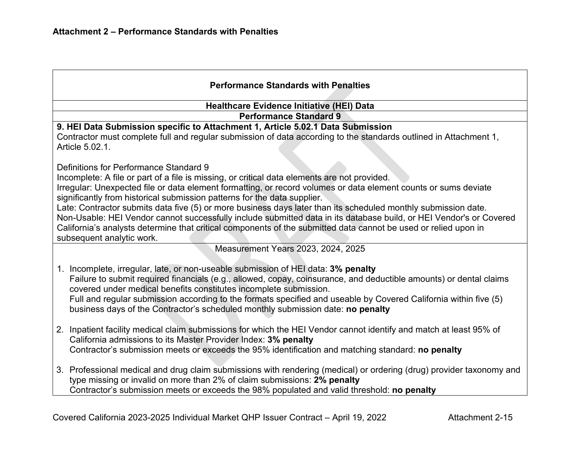| <b>Performance Standards with Penalties</b>                                                                                                                                                         |  |  |  |  |
|-----------------------------------------------------------------------------------------------------------------------------------------------------------------------------------------------------|--|--|--|--|
| Healthcare Evidence Initiative (HEI) Data                                                                                                                                                           |  |  |  |  |
| <b>Performance Standard 9</b>                                                                                                                                                                       |  |  |  |  |
| 9. HEI Data Submission specific to Attachment 1, Article 5.02.1 Data Submission                                                                                                                     |  |  |  |  |
| Contractor must complete full and regular submission of data according to the standards outlined in Attachment 1,<br>Article 5.02.1.                                                                |  |  |  |  |
| Definitions for Performance Standard 9                                                                                                                                                              |  |  |  |  |
| Incomplete: A file or part of a file is missing, or critical data elements are not provided.                                                                                                        |  |  |  |  |
| Irregular: Unexpected file or data element formatting, or record volumes or data element counts or sums deviate<br>significantly from historical submission patterns for the data supplier.         |  |  |  |  |
| Late: Contractor submits data five (5) or more business days later than its scheduled monthly submission date.                                                                                      |  |  |  |  |
| Non-Usable: HEI Vendor cannot successfully include submitted data in its database build, or HEI Vendor's or Covered                                                                                 |  |  |  |  |
| California's analysts determine that critical components of the submitted data cannot be used or relied upon in<br>subsequent analytic work.                                                        |  |  |  |  |
| Measurement Years 2023, 2024, 2025                                                                                                                                                                  |  |  |  |  |
|                                                                                                                                                                                                     |  |  |  |  |
| 1. Incomplete, irregular, late, or non-useable submission of HEI data: 3% penalty                                                                                                                   |  |  |  |  |
| Failure to submit required financials (e.g., allowed, copay, coinsurance, and deductible amounts) or dental claims<br>covered under medical benefits constitutes incomplete submission.             |  |  |  |  |
| Full and regular submission according to the formats specified and useable by Covered California within five (5)<br>business days of the Contractor's scheduled monthly submission date: no penalty |  |  |  |  |
|                                                                                                                                                                                                     |  |  |  |  |
| 2. Inpatient facility medical claim submissions for which the HEI Vendor cannot identify and match at least 95% of<br>California admissions to its Master Provider Index: 3% penalty                |  |  |  |  |
| Contractor's submission meets or exceeds the 95% identification and matching standard: no penalty                                                                                                   |  |  |  |  |
| 3. Professional medical and drug claim submissions with rendering (medical) or ordering (drug) provider taxonomy and                                                                                |  |  |  |  |
| type missing or invalid on more than 2% of claim submissions: 2% penalty<br>Contractor's submission meets or exceeds the 98% populated and valid threshold: no penalty                              |  |  |  |  |
|                                                                                                                                                                                                     |  |  |  |  |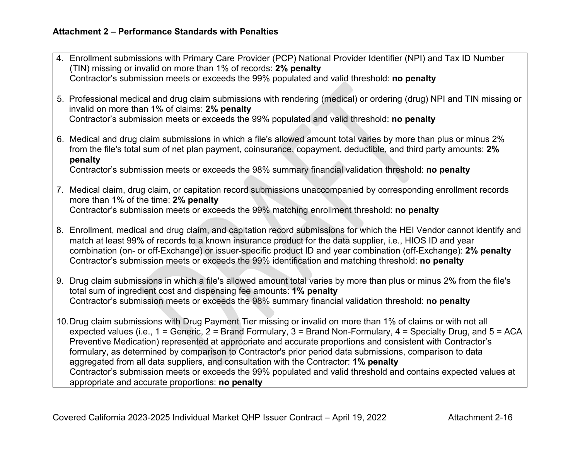| 4. Enrollment submissions with Primary Care Provider (PCP) National Provider Identifier (NPI) and Tax ID Number<br>(TIN) missing or invalid on more than 1% of records: 2% penalty                                                                                                                                                                                                                                                                                                                                                                               |  |  |  |
|------------------------------------------------------------------------------------------------------------------------------------------------------------------------------------------------------------------------------------------------------------------------------------------------------------------------------------------------------------------------------------------------------------------------------------------------------------------------------------------------------------------------------------------------------------------|--|--|--|
| Contractor's submission meets or exceeds the 99% populated and valid threshold: no penalty                                                                                                                                                                                                                                                                                                                                                                                                                                                                       |  |  |  |
| 5. Professional medical and drug claim submissions with rendering (medical) or ordering (drug) NPI and TIN missing or<br>invalid on more than 1% of claims: 2% penalty                                                                                                                                                                                                                                                                                                                                                                                           |  |  |  |
| Contractor's submission meets or exceeds the 99% populated and valid threshold: no penalty                                                                                                                                                                                                                                                                                                                                                                                                                                                                       |  |  |  |
| 6. Medical and drug claim submissions in which a file's allowed amount total varies by more than plus or minus 2%<br>from the file's total sum of net plan payment, coinsurance, copayment, deductible, and third party amounts: 2%<br>penalty                                                                                                                                                                                                                                                                                                                   |  |  |  |
| Contractor's submission meets or exceeds the 98% summary financial validation threshold: no penalty                                                                                                                                                                                                                                                                                                                                                                                                                                                              |  |  |  |
| 7. Medical claim, drug claim, or capitation record submissions unaccompanied by corresponding enrollment records<br>more than 1% of the time: 2% penalty<br>Contractor's submission meets or exceeds the 99% matching enrollment threshold: no penalty                                                                                                                                                                                                                                                                                                           |  |  |  |
| 8. Enrollment, medical and drug claim, and capitation record submissions for which the HEI Vendor cannot identify and<br>match at least 99% of records to a known insurance product for the data supplier, i.e., HIOS ID and year<br>combination (on- or off-Exchange) or issuer-specific product ID and year combination (off-Exchange): 2% penalty<br>Contractor's submission meets or exceeds the 99% identification and matching threshold: no penalty                                                                                                       |  |  |  |
| 9. Drug claim submissions in which a file's allowed amount total varies by more than plus or minus 2% from the file's<br>total sum of ingredient cost and dispensing fee amounts: 1% penalty<br>Contractor's submission meets or exceeds the 98% summary financial validation threshold: no penalty                                                                                                                                                                                                                                                              |  |  |  |
| 10. Drug claim submissions with Drug Payment Tier missing or invalid on more than 1% of claims or with not all<br>expected values (i.e., $1 =$ Generic, $2 =$ Brand Formulary, $3 =$ Brand Non-Formulary, $4 =$ Specialty Drug, and $5 =$ ACA<br>Preventive Medication) represented at appropriate and accurate proportions and consistent with Contractor's<br>formulary, as determined by comparison to Contractor's prior period data submissions, comparison to data<br>aggregated from all data suppliers, and consultation with the Contractor: 1% penalty |  |  |  |
| Contractor's submission meets or exceeds the 99% populated and valid threshold and contains expected values at<br>appropriate and accurate proportions: no penalty                                                                                                                                                                                                                                                                                                                                                                                               |  |  |  |